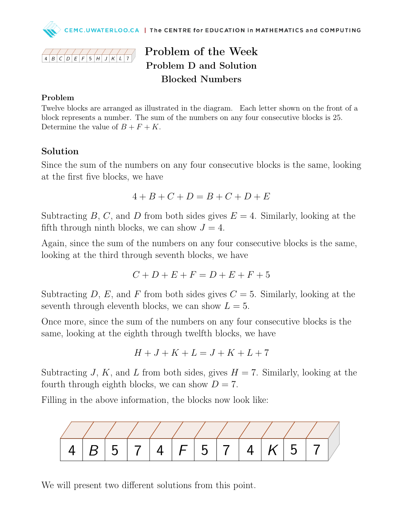



# Problem of the Week Problem D and Solution Blocked Numbers

#### Problem

Twelve blocks are arranged as illustrated in the diagram. Each letter shown on the front of a block represents a number. The sum of the numbers on any four consecutive blocks is 25. Determine the value of  $B + F + K$ .

### Solution

Since the sum of the numbers on any four consecutive blocks is the same, looking at the first five blocks, we have

$$
4 + B + C + D = B + C + D + E
$$

Subtracting B, C, and D from both sides gives  $E = 4$ . Similarly, looking at the fifth through ninth blocks, we can show  $J = 4$ .

Again, since the sum of the numbers on any four consecutive blocks is the same, looking at the third through seventh blocks, we have

$$
C + D + E + F = D + E + F + 5
$$

Subtracting D, E, and F from both sides gives  $C = 5$ . Similarly, looking at the seventh through eleventh blocks, we can show  $L = 5$ .

Once more, since the sum of the numbers on any four consecutive blocks is the same, looking at the eighth through twelfth blocks, we have

$$
H+J+K+L=J+K+L+7
$$

Subtracting J, K, and L from both sides, gives  $H = 7$ . Similarly, looking at the fourth through eighth blocks, we can show  $D = 7$ .

Filling in the above information, the blocks now look like:



We will present two different solutions from this point.